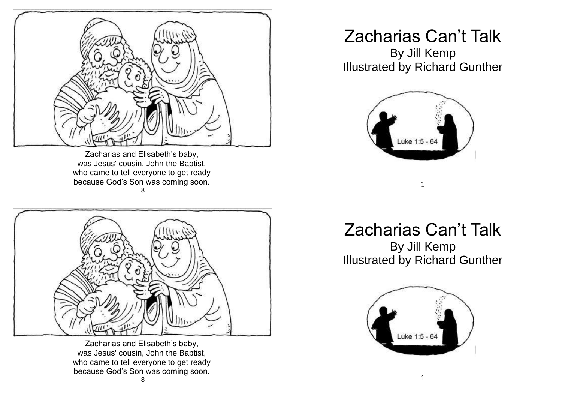

Zacharias and Elisabeth's baby, was Jesus' cousin, John the Baptist, who came to tell everyone to get ready because God's Son was coming soon. 8



Zacharias and Elisabeth's baby, was Jesus' cousin, John the Baptist, who came to tell everyone to get ready because God's Son was coming soon. 8

## Zacharias Can't Talk By Jill Kemp

Illustrated by Richard Gunther



Zacharias Can't Talk

1

By Jill Kemp Illustrated by Richard Gunther

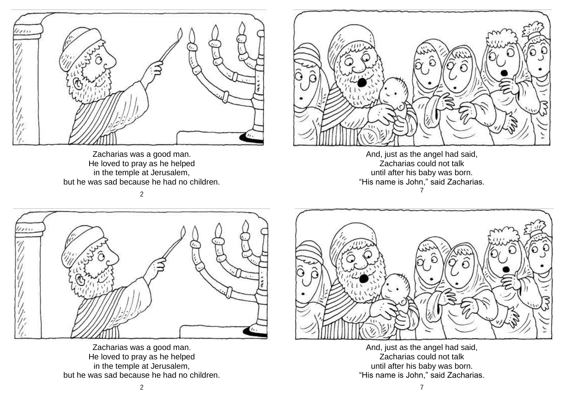

Zacharias was a good man. He loved to pray as he helped in the temple at Jerusalem, but he was sad because he had no children.



And, just as the angel had said, Zacharias could not talk until after his baby was born. "His name is John," said Zacharias. 7





Zacharias was a good man. He loved to pray as he helped in the temple at Jerusalem, but he was sad because he had no children.



And, just as the angel had said, Zacharias could not talk until after his baby was born. "His name is John," said Zacharias.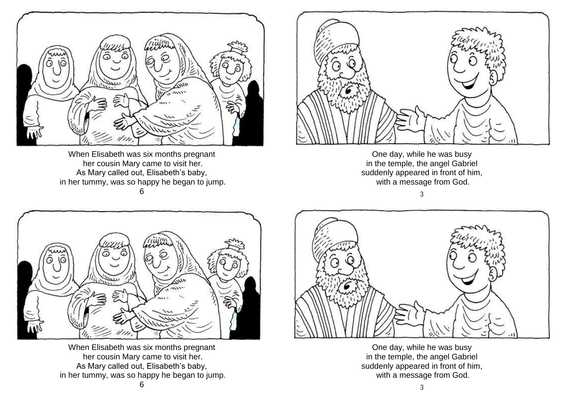

When Elisabeth was six months pregnant her cousin Mary came to visit her. As Mary called out, Elisabeth's baby, in her tummy, was so happy he began to jump. 6



One day, while he was busy in the temple, the angel Gabriel suddenly appeared in front of him, with a message from God.





When Elisabeth was six months pregnant her cousin Mary came to visit her. As Mary called out, Elisabeth's baby, in her tummy, was so happy he began to jump.



One day, while he was busy in the temple, the angel Gabriel suddenly appeared in front of him, with a message from God.